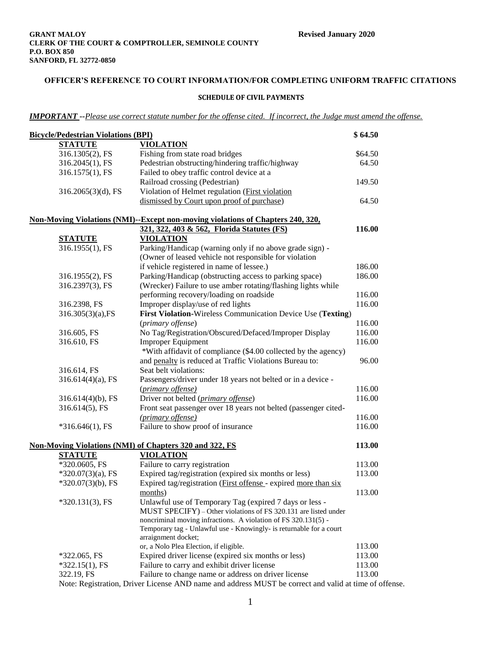# **OFFICER'S REFERENCE TO COURT INFORMATION/FOR COMPLETING UNIFORM TRAFFIC CITATIONS**

#### **SCHEDULE OF CIVIL PAYMENTS**

*IMPORTANT --Please use correct statute number for the offense cited. If incorrect, the Judge must amend the offense.*

| <b>Bicycle/Pedestrian Violations (BPI)</b> |                                                                                        | \$64.50 |
|--------------------------------------------|----------------------------------------------------------------------------------------|---------|
| <b>STATUTE</b>                             | <b>VIOLATION</b>                                                                       |         |
| 316.1305(2), FS                            | Fishing from state road bridges                                                        | \$64.50 |
| 316.2045(1), FS                            | Pedestrian obstructing/hindering traffic/highway                                       | 64.50   |
| 316.1575(1), FS                            | Failed to obey traffic control device at a                                             |         |
|                                            | Railroad crossing (Pedestrian)                                                         | 149.50  |
| 316.2065(3)(d), FS                         | Violation of Helmet regulation ( <i>First violation</i>                                |         |
|                                            | dismissed by Court upon proof of purchase)                                             | 64.50   |
|                                            |                                                                                        |         |
|                                            | <b>Non-Moving Violations (NMI)--Except non-moving violations of Chapters 240, 320,</b> |         |
|                                            | 321, 322, 403 & 562, Florida Statutes (FS)                                             | 116.00  |
| <b>STATUTE</b>                             | <b>VIOLATION</b>                                                                       |         |
| 316.1955(1), FS                            | Parking/Handicap (warning only if no above grade sign) -                               |         |
|                                            | (Owner of leased vehicle not responsible for violation                                 |         |
|                                            | if vehicle registered in name of lessee.)                                              | 186.00  |
| 316.1955(2), FS                            | Parking/Handicap (obstructing access to parking space)                                 | 186.00  |
| 316.2397(3), FS                            | (Wrecker) Failure to use amber rotating/flashing lights while                          |         |
|                                            | performing recovery/loading on roadside                                                | 116.00  |
| 316.2398, FS                               | Improper display/use of red lights                                                     | 116.00  |
| $316.305(3)(a)$ , FS                       | First Violation-Wireless Communication Device Use (Texting)                            |         |
|                                            | (primary offense)                                                                      | 116.00  |
| 316.605, FS                                | No Tag/Registration/Obscured/Defaced/Improper Display                                  | 116.00  |
| 316.610, FS                                | <b>Improper Equipment</b>                                                              | 116.00  |
|                                            | *With affidavit of compliance (\$4.00 collected by the agency)                         |         |
|                                            | and penalty is reduced at Traffic Violations Bureau to:                                | 96.00   |
| 316.614, FS                                | Seat belt violations:                                                                  |         |
| $316.614(4)(a)$ , FS                       | Passengers/driver under 18 years not belted or in a device -                           |         |
|                                            | (primary offense)                                                                      | 116.00  |
| $316.614(4)(b)$ , FS                       | Driver not belted (primary offense)                                                    | 116.00  |
| 316.614(5), FS                             | Front seat passenger over 18 years not belted (passenger cited-                        |         |
|                                            | (primary offense)                                                                      | 116.00  |
| $*316.646(1)$ , FS                         | Failure to show proof of insurance                                                     | 116.00  |
|                                            |                                                                                        |         |
|                                            | <b>Non-Moving Violations (NMI) of Chapters 320 and 322, FS</b>                         | 113.00  |
| <b>STATUTE</b>                             | <b>VIOLATION</b>                                                                       |         |
| *320.0605, FS                              | Failure to carry registration                                                          | 113.00  |
| $*320.07(3)(a)$ , FS                       | Expired tag/registration (expired six months or less)                                  | 113.00  |
| $*320.07(3)(b)$ , FS                       | Expired tag/registration (First offense - expired more than six                        |         |
|                                            | months)                                                                                | 113.00  |
| $*320.131(3)$ , FS                         | Unlawful use of Temporary Tag (expired 7 days or less -                                |         |
|                                            | MUST SPECIFY) – Other violations of FS 320.131 are listed under                        |         |
|                                            | noncriminal moving infractions. A violation of FS 320.131(5) -                         |         |
|                                            | Temporary tag - Unlawful use - Knowingly- is returnable for a court                    |         |
|                                            | arraignment docket;                                                                    |         |
|                                            | or, a Nolo Plea Election, if eligible.                                                 | 113.00  |
| $*322.065$ , FS                            | Expired driver license (expired six months or less)                                    | 113.00  |
| $*322.15(1)$ , FS                          | Failure to carry and exhibit driver license                                            | 113.00  |
| 322.19, FS                                 | Failure to change name or address on driver license                                    | 113.00  |

Note: Registration, Driver License AND name and address MUST be correct and valid at time of offense.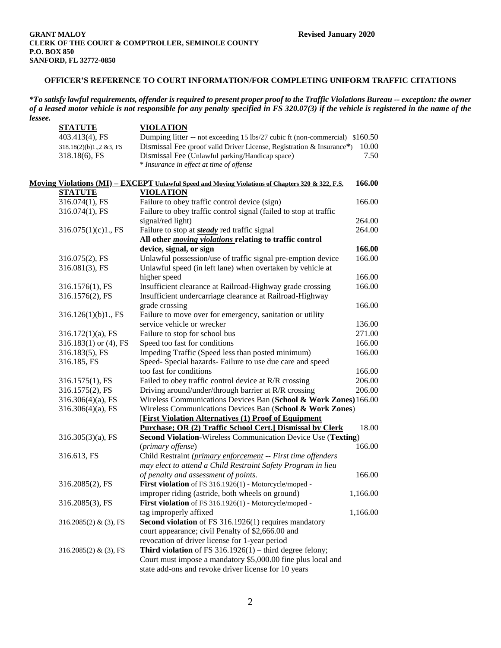## **OFFICER'S REFERENCE TO COURT INFORMATION/FOR COMPLETING UNIFORM TRAFFIC CITATIONS**

*\*To satisfy lawful requirements, offender is required to present proper proof to the Traffic Violations Bureau -- exception: the owner of a leased motor vehicle is not responsible for any penalty specified in FS 320.07(3) if the vehicle is registered in the name of the lessee.*

| <b>STATUTE</b>              | <b>VIOLATION</b>                                                                                 |          |
|-----------------------------|--------------------------------------------------------------------------------------------------|----------|
| 403.413(4), FS              | Dumping litter -- not exceeding 15 lbs/27 cubic ft (non-commercial) \$160.50                     |          |
| 318.18(2)(b)1.,2 &3, FS     | Dismissal Fee (proof valid Driver License, Registration & Insurance*)                            | 10.00    |
| 318.18(6), FS               | Dismissal Fee (Unlawful parking/Handicap space)                                                  | 7.50     |
|                             | * Insurance in effect at time of offense                                                         |          |
|                             |                                                                                                  |          |
|                             | Moving Violations (MI) - EXCEPT Unlawful Speed and Moving Violations of Chapters 320 & 322, F.S. | 166.00   |
| <b>STATUTE</b>              | <b>VIOLATION</b>                                                                                 |          |
| 316.074(1), FS              | Failure to obey traffic control device (sign)                                                    | 166.00   |
| 316.074(1), FS              | Failure to obey traffic control signal (failed to stop at traffic                                |          |
|                             | signal/red light)                                                                                | 264.00   |
| 316.075(1)(c)1., FS         | Failure to stop at <i>steady</i> red traffic signal                                              | 264.00   |
|                             | All other <i>moving violations</i> relating to traffic control                                   |          |
|                             | device, signal, or sign                                                                          | 166.00   |
| 316.075(2), FS              | Unlawful possession/use of traffic signal pre-emption device                                     | 166.00   |
| 316.081(3), FS              | Unlawful speed (in left lane) when overtaken by vehicle at                                       |          |
|                             | higher speed                                                                                     | 166.00   |
| 316.1576(1), FS             | Insufficient clearance at Railroad-Highway grade crossing                                        | 166.00   |
| 316.1576(2), FS             | Insufficient undercarriage clearance at Railroad-Highway                                         |          |
|                             | grade crossing                                                                                   | 166.00   |
| 316.126(1)(b)1, FS          | Failure to move over for emergency, sanitation or utility                                        |          |
|                             | service vehicle or wrecker                                                                       | 136.00   |
| $316.172(1)(a)$ , FS        | Failure to stop for school bus                                                                   | 271.00   |
| $316.183(1)$ or $(4)$ , FS  | Speed too fast for conditions                                                                    | 166.00   |
| 316.183(5), FS              | Impeding Traffic (Speed less than posted minimum)                                                | 166.00   |
| 316.185, FS                 | Speed- Special hazards- Failure to use due care and speed                                        |          |
|                             | too fast for conditions                                                                          | 166.00   |
| 316.1575(1), FS             | Failed to obey traffic control device at R/R crossing                                            | 206.00   |
| 316.1575(2), FS             | Driving around/under/through barrier at R/R crossing                                             | 206.00   |
| $316.306(4)(a)$ , FS        | Wireless Communications Devices Ban (School & Work Zones) 166.00                                 |          |
| $316.306(4)(a)$ , FS        | Wireless Communications Devices Ban (School & Work Zones)                                        |          |
|                             | <b>[First Violation Alternatives (1) Proof of Equipment</b>                                      |          |
|                             | Purchase; OR (2) Traffic School Cert.] Dismissal by Clerk                                        | 18.00    |
| $316.305(3)(a)$ , FS        | Second Violation-Wireless Communication Device Use (Texting)                                     |          |
|                             | (primary offense)                                                                                | 166.00   |
| 316.613, FS                 | Child Restraint (primary enforcement -- First time offenders                                     |          |
|                             | may elect to attend a Child Restraint Safety Program in lieu                                     |          |
|                             | of penalty and assessment of points.                                                             | 166.00   |
| 316.2085(2), FS             | First violation of FS 316.1926(1) - Motorcycle/moped -                                           |          |
|                             | improper riding (astride, both wheels on ground)                                                 | 1,166.00 |
| 316.2085(3), FS             | First violation of FS 316.1926(1) - Motorcycle/moped -                                           |          |
|                             | tag improperly affixed                                                                           | 1,166.00 |
| $316.2085(2)$ & (3), FS     | Second violation of FS 316.1926(1) requires mandatory                                            |          |
|                             | court appearance; civil Penalty of \$2,666.00 and                                                |          |
|                             | revocation of driver license for 1-year period                                                   |          |
| 316.2085 $(2)$ & $(3)$ , FS | <b>Third violation</b> of FS $316.1926(1)$ – third degree felony;                                |          |
|                             | Court must impose a mandatory \$5,000.00 fine plus local and                                     |          |
|                             | state add-ons and revoke driver license for 10 years                                             |          |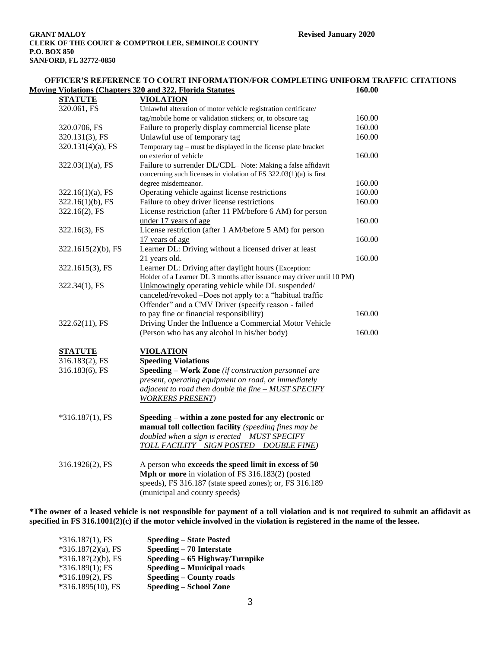| OFFICER'S REFERENCE TO COURT INFORMATION/FOR COMPLETING UNIFORM TRAFFIC CITATIONS<br><b>Moving Violations (Chapters 320 and 322, Florida Statutes)</b><br>160.00 |                                                                        |        |  |
|------------------------------------------------------------------------------------------------------------------------------------------------------------------|------------------------------------------------------------------------|--------|--|
| <b>STATUTE</b>                                                                                                                                                   | <b>VIOLATION</b>                                                       |        |  |
| 320.061, FS                                                                                                                                                      | Unlawful alteration of motor vehicle registration certificate/         |        |  |
|                                                                                                                                                                  | tag/mobile home or validation stickers; or, to obscure tag             | 160.00 |  |
| 320.0706, FS                                                                                                                                                     | Failure to properly display commercial license plate                   | 160.00 |  |
| 320.131(3), FS                                                                                                                                                   | Unlawful use of temporary tag                                          | 160.00 |  |
| 320.131(4)(a), FS                                                                                                                                                | Temporary tag - must be displayed in the license plate bracket         |        |  |
|                                                                                                                                                                  | on exterior of vehicle                                                 | 160.00 |  |
| $322.03(1)(a)$ , FS                                                                                                                                              | Failure to surrender DL/CDL- Note: Making a false affidavit            |        |  |
|                                                                                                                                                                  | concerning such licenses in violation of FS $322.03(1)(a)$ is first    |        |  |
|                                                                                                                                                                  | degree misdemeanor.                                                    | 160.00 |  |
| $322.16(1)(a)$ , FS                                                                                                                                              | Operating vehicle against license restrictions                         | 160.00 |  |
| $322.16(1)(b)$ , FS                                                                                                                                              | Failure to obey driver license restrictions                            | 160.00 |  |
| 322.16(2), FS                                                                                                                                                    | License restriction (after 11 PM/before 6 AM) for person               |        |  |
|                                                                                                                                                                  | under 17 years of age                                                  | 160.00 |  |
| 322.16(3), FS                                                                                                                                                    | License restriction (after 1 AM/before 5 AM) for person                |        |  |
|                                                                                                                                                                  | 17 years of age                                                        | 160.00 |  |
| 322.1615(2)(b), FS                                                                                                                                               | Learner DL: Driving without a licensed driver at least                 |        |  |
|                                                                                                                                                                  | 21 years old.                                                          | 160.00 |  |
| 322.1615(3), FS                                                                                                                                                  | Learner DL: Driving after daylight hours (Exception:                   |        |  |
|                                                                                                                                                                  | Holder of a Learner DL 3 months after issuance may driver until 10 PM) |        |  |
| 322.34(1), FS                                                                                                                                                    | Unknowingly operating vehicle while DL suspended/                      |        |  |
|                                                                                                                                                                  | canceled/revoked -Does not apply to: a "habitual traffic               |        |  |
|                                                                                                                                                                  | Offender" and a CMV Driver (specify reason - failed                    |        |  |
|                                                                                                                                                                  | to pay fine or financial responsibility)                               | 160.00 |  |
| 322.62(11), FS                                                                                                                                                   | Driving Under the Influence a Commercial Motor Vehicle                 |        |  |
|                                                                                                                                                                  | (Person who has any alcohol in his/her body)                           | 160.00 |  |
| <b>STATUTE</b>                                                                                                                                                   | <b>VIOLATION</b>                                                       |        |  |
| 316.183(2), FS                                                                                                                                                   | <b>Speeding Violations</b>                                             |        |  |
| 316.183(6), FS                                                                                                                                                   | Speeding - Work Zone (if construction personnel are                    |        |  |
|                                                                                                                                                                  | present, operating equipment on road, or immediately                   |        |  |
|                                                                                                                                                                  | adjacent to road then double the fine - MUST SPECIFY                   |        |  |
|                                                                                                                                                                  | <b>WORKERS PRESENT</b> )                                               |        |  |
| $*316.187(1)$ , FS                                                                                                                                               | Speeding – within a zone posted for any electronic or                  |        |  |
|                                                                                                                                                                  | manual toll collection facility (speeding fines may be                 |        |  |
|                                                                                                                                                                  | doubled when a sign is erected $-MUST$ SPECIFY -                       |        |  |
|                                                                                                                                                                  | TOLL FACILITY - SIGN POSTED - DOUBLE FINE)                             |        |  |
|                                                                                                                                                                  |                                                                        |        |  |
| 316.1926(2), FS                                                                                                                                                  | A person who exceeds the speed limit in excess of 50                   |        |  |
|                                                                                                                                                                  | Mph or more in violation of FS 316.183(2) (posted                      |        |  |
|                                                                                                                                                                  | speeds), FS 316.187 (state speed zones); or, FS 316.189                |        |  |

(municipal and county speeds)

**\*The owner of a leased vehicle is not responsible for payment of a toll violation and is not required to submit an affidavit as specified in FS 316.1001(2)(c) if the motor vehicle involved in the violation is registered in the name of the lessee.**

| $*316.187(1)$ , FS    | <b>Speeding – State Posted</b>    |
|-----------------------|-----------------------------------|
| $*316.187(2)(a)$ , FS | Speeding – 70 Interstate          |
| $*316.187(2)(b)$ , FS | Speeding – 65 Highway/Turnpike    |
| $*316.189(1)$ ; FS    | <b>Speeding – Municipal roads</b> |
| $*316.189(2)$ , FS    | <b>Speeding – County roads</b>    |
| *316.1895(10), FS     | <b>Speeding – School Zone</b>     |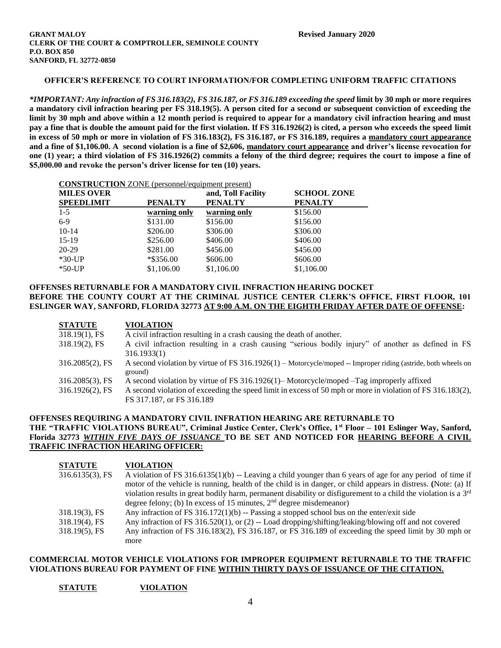## **OFFICER'S REFERENCE TO COURT INFORMATION/FOR COMPLETING UNIFORM TRAFFIC CITATIONS**

*\*IMPORTANT: Any infraction of FS 316.183(2), FS 316.187, or FS 316.189 exceeding the speed* **limit by 30 mph or more requires a mandatory civil infraction hearing per FS 318.19(5). A person cited for a second or subsequent conviction of exceeding the limit by 30 mph and above within a 12 month period is required to appear for a mandatory civil infraction hearing and must pay a fine that is double the amount paid for the first violation. If FS 316.1926(2) is cited, a person who exceeds the speed limit in excess of 50 mph or more in violation of FS 316.183(2), FS 316.187, or FS 316.189, requires a mandatory court appearance and a fine of \$1,106.00. A second violation is a fine of \$2,606, mandatory court appearance and driver's license revocation for one (1) year; a third violation of FS 316.1926(2) commits a felony of the third degree; requires the court to impose a fine of \$5,000.00 and revoke the person's driver license for ten (10) years.**

| <b>CONSTRUCTION</b> ZONE (personnel/equipment present) |
|--------------------------------------------------------|
|--------------------------------------------------------|

| <b>MILES OVER</b> |                | and, Toll Facility | <b>SCHOOL ZONE</b> |
|-------------------|----------------|--------------------|--------------------|
| <b>SPEEDLIMIT</b> | <b>PENALTY</b> | <b>PENALTY</b>     | <b>PENALTY</b>     |
| $1-5$             | warning only   | warning only       | \$156.00           |
| $6-9$             | \$131.00       | \$156.00           | \$156.00           |
| $10-14$           | \$206.00       | \$306.00           | \$306.00           |
| $15-19$           | \$256.00       | \$406.00           | \$406.00           |
| 20-29             | \$281.00       | \$456.00           | \$456.00           |
| $*30$ -UP         | *\$356.00      | \$606.00           | \$606.00           |
| $*50-UP$          | \$1,106.00     | \$1,106.00         | \$1,106.00         |

## **OFFENSES RETURNABLE FOR A MANDATORY CIVIL INFRACTION HEARING DOCKET BEFORE THE COUNTY COURT AT THE CRIMINAL JUSTICE CENTER CLERK'S OFFICE, FIRST FLOOR, 101 ESLINGER WAY, SANFORD, FLORIDA 32773 AT 9:00 A.M. ON THE EIGHTH FRIDAY AFTER DATE OF OFFENSE:**

| <b>STATUTE</b>     | <b>VIOLATION</b>                                                                                                           |
|--------------------|----------------------------------------------------------------------------------------------------------------------------|
| $318.19(1)$ , FS   | A civil infraction resulting in a crash causing the death of another.                                                      |
| $318.19(2)$ , FS   | A civil infraction resulting in a crash causing "serious bodily injury" of another as defined in FS<br>316.1933(1)         |
| $316.2085(2)$ , FS | A second violation by virtue of FS $316.1926(1)$ – Motorcycle/moped -- Improper riding (astride, both wheels on<br>ground) |
| $316.2085(3)$ , FS | A second violation by virtue of FS 316.1926(1)–Motorcycle/moped –Tag improperly affixed                                    |
| $316.1926(2)$ , FS | A second violation of exceeding the speed limit in excess of 50 mph or more in violation of FS 316.183(2),                 |
|                    | FS 317.187, or FS 316.189                                                                                                  |

## **OFFENSES REQUIRING A MANDATORY CIVIL INFRATION HEARING ARE RETURNABLE TO THE "TRAFFIC VIOLATIONS BUREAU", Criminal Justice Center, Clerk's Office, 1st Floor – 101 Eslinger Way, Sanford, Florida 32773** *WITHIN FIVE DAYS OF ISSUANCE* **TO BE SET AND NOTICED FOR HEARING BEFORE A CIVIL TRAFFIC INFRACTION HEARING OFFICER:**

| <b>STATUTE</b>     | <b>VIOLATION</b>                                                                                                            |
|--------------------|-----------------------------------------------------------------------------------------------------------------------------|
| $316.6135(3)$ , FS | A violation of FS $316.6135(1)(b)$ -- Leaving a child younger than 6 years of age for any period of time if                 |
|                    | motor of the vehicle is running, health of the child is in danger, or child appears in distress. (Note: (a) If              |
|                    | violation results in great bodily harm, permanent disability or disfigurement to a child the violation is a 3 <sup>rd</sup> |
|                    | degree felony; (b) In excess of 15 minutes, $2nd$ degree misdemeanor)                                                       |
| $318.19(3)$ , FS   | Any infraction of FS 316.172(1)(b) -- Passing a stopped school bus on the enter/exit side                                   |
| $318.19(4)$ , FS   | Any infraction of FS $316.520(1)$ , or (2) -- Load dropping/shifting/leaking/blowing off and not covered                    |
| $318.19(5)$ , FS   | Any infraction of FS 316.183(2), FS 316.187, or FS 316.189 of exceeding the speed limit by 30 mph or                        |
|                    | more                                                                                                                        |

### **COMMERCIAL MOTOR VEHICLE VIOLATIONS FOR IMPROPER EQUIPMENT RETURNABLE TO THE TRAFFIC VIOLATIONS BUREAU FOR PAYMENT OF FINE WITHIN THIRTY DAYS OF ISSUANCE OF THE CITATION.**

### **STATUTE VIOLATION**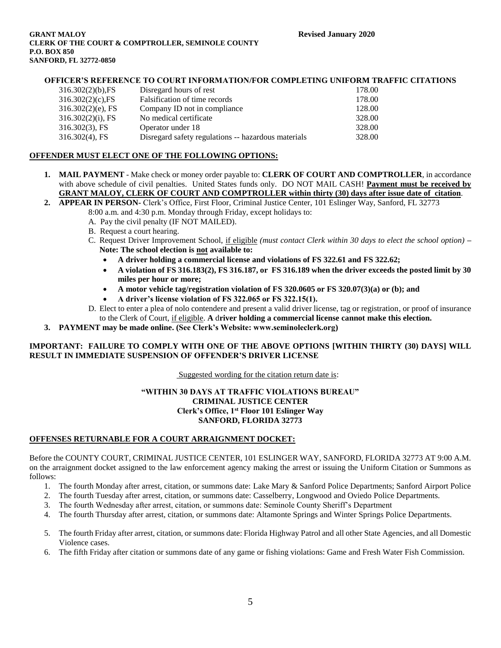#### **GRANT MALOY Revised January 2020 CLERK OF THE COURT & COMPTROLLER, SEMINOLE COUNTY P.O. BOX 850 SANFORD, FL 32772-0850**

## **OFFICER'S REFERENCE TO COURT INFORMATION/FOR COMPLETING UNIFORM TRAFFIC CITATIONS**

| $316.302(2)(b)$ , FS | Disregard hours of rest                             | 178.00 |
|----------------------|-----------------------------------------------------|--------|
| 316.302(2)(c), FS    | Falsification of time records                       | 178.00 |
| $316.302(2)(e)$ , FS | Company ID not in compliance                        | 128.00 |
| $316.302(2)(i)$ , FS | No medical certificate                              | 328.00 |
| $316.302(3)$ , FS    | Operator under 18                                   | 328.00 |
| $316.302(4)$ , FS    | Disregard safety regulations -- hazardous materials | 328.00 |

## **OFFENDER MUST ELECT ONE OF THE FOLLOWING OPTIONS:**

- **1. MAIL PAYMENT** Make check or money order payable to: **CLERK OF COURT AND COMPTROLLER**, in accordance with above schedule of civil penalties. United States funds only. DO NOT MAIL CASH! **Payment must be received by GRANT MALOY, CLERK OF COURT AND COMPTROLLER within thirty (30) days after issue date of citation**.
- **2. APPEAR IN PERSON-** Clerk's Office, First Floor, Criminal Justice Center, 101 Eslinger Way, Sanford, FL 32773 8:00 a.m. and 4:30 p.m. Monday through Friday, except holidays to:
	- A. Pay the civil penalty (IF NOT MAILED).
	- B. Request a court hearing.
	- C. Request Driver Improvement School, if eligible *(must contact Clerk within 30 days to elect the school option)* **– Note: The school election is not available to:**
		- **A driver holding a commercial license and violations of FS 322.61 and FS 322.62;**
		- **A violation of FS 316.183(2), FS 316.187, or FS 316.189 when the driver exceeds the posted limit by 30 miles per hour or more;**
		- **A motor vehicle tag/registration violation of FS 320.0605 or FS 320.07(3)(a) or (b); and**
		- **A driver's license violation of FS 322.065 or FS 322.15(1).**
	- D. Elect to enter a plea of nolo contendere and present a valid driver license, tag or registration, or proof of insurance to the Clerk of Court, if eligible. **A** d**river holding a commercial license cannot make this election.**
- **3. PAYMENT may be made online. (See Clerk's Website: www.seminoleclerk.org)**

## **IMPORTANT: FAILURE TO COMPLY WITH ONE OF THE ABOVE OPTIONS [WITHIN THIRTY (30) DAYS] WILL RESULT IN IMMEDIATE SUSPENSION OF OFFENDER'S DRIVER LICENSE**

Suggested wording for the citation return date is:

## **"WITHIN 30 DAYS AT TRAFFIC VIOLATIONS BUREAU" CRIMINAL JUSTICE CENTER Clerk's Office, 1st Floor 101 Eslinger Way SANFORD, FLORIDA 32773**

## **OFFENSES RETURNABLE FOR A COURT ARRAIGNMENT DOCKET:**

Before the COUNTY COURT, CRIMINAL JUSTICE CENTER, 101 ESLINGER WAY, SANFORD, FLORIDA 32773 AT 9:00 A.M. on the arraignment docket assigned to the law enforcement agency making the arrest or issuing the Uniform Citation or Summons as follows:

- 1. The fourth Monday after arrest, citation, or summons date: Lake Mary & Sanford Police Departments; Sanford Airport Police
- 2. The fourth Tuesday after arrest, citation, or summons date: Casselberry, Longwood and Oviedo Police Departments.
- 3. The fourth Wednesday after arrest, citation, or summons date: Seminole County Sheriff's Department
- 4. The fourth Thursday after arrest, citation, or summons date: Altamonte Springs and Winter Springs Police Departments.
- 5. The fourth Friday after arrest, citation, or summons date: Florida Highway Patrol and all other State Agencies, and all Domestic Violence cases.
- 6. The fifth Friday after citation or summons date of any game or fishing violations: Game and Fresh Water Fish Commission.